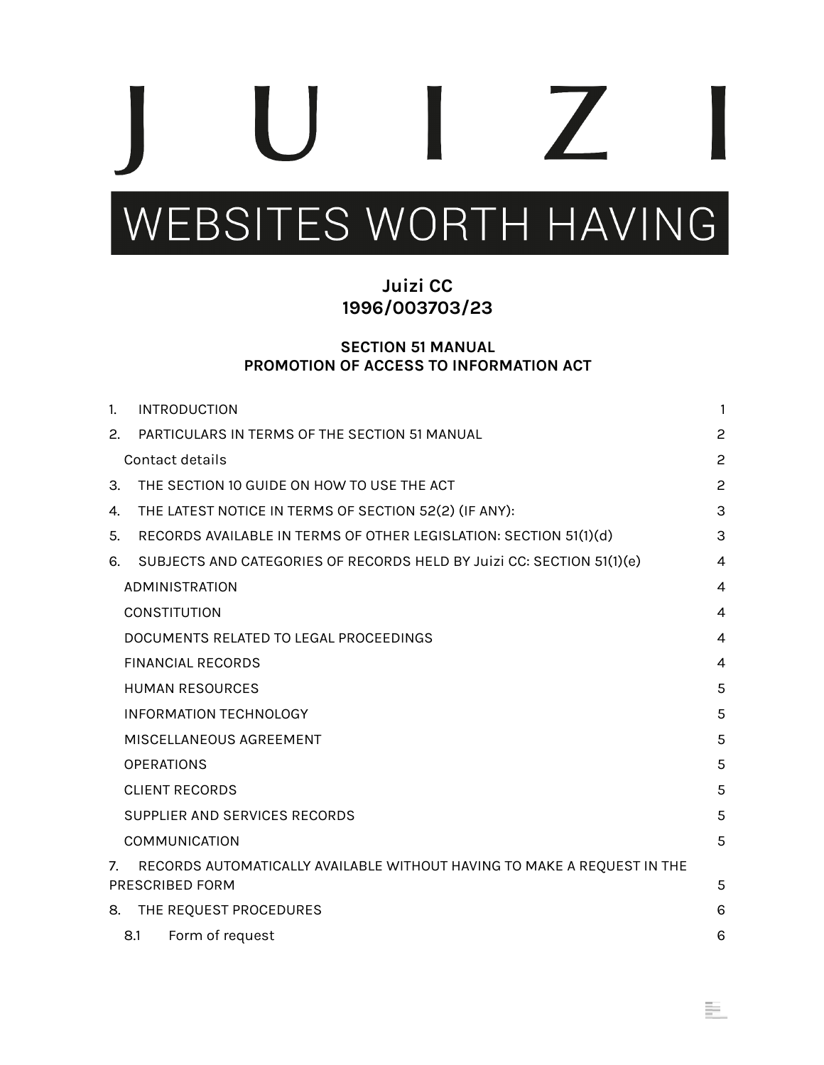# $\sqrt{2}$

# WEBSITES WORTH HAVING

## **Juizi CC 1996/003703/23**

#### **SECTION 51 MANUAL PROMOTION OF ACCESS TO INFORMATION ACT**

| $\mathbf{1}$ | <b>INTRODUCTION</b>                                                     | 1              |
|--------------|-------------------------------------------------------------------------|----------------|
| 2.           | PARTICULARS IN TERMS OF THE SECTION 51 MANUAL                           | $\overline{c}$ |
|              | Contact details                                                         | $\overline{c}$ |
| 3.           | THE SECTION 10 GUIDE ON HOW TO USE THE ACT                              | $\overline{c}$ |
| 4.           | THE LATEST NOTICE IN TERMS OF SECTION 52(2) (IF ANY):                   | 3              |
| 5.           | RECORDS AVAILABLE IN TERMS OF OTHER LEGISLATION: SECTION 51(1)(d)       | 3              |
| 6.           | SUBJECTS AND CATEGORIES OF RECORDS HELD BY Juizi CC: SECTION 51(1)(e)   | 4              |
|              | ADMINISTRATION                                                          | 4              |
|              | <b>CONSTITUTION</b>                                                     | 4              |
|              | DOCUMENTS RELATED TO LEGAL PROCEEDINGS                                  | 4              |
|              | <b>FINANCIAL RECORDS</b>                                                | $\overline{4}$ |
|              | <b>HUMAN RESOURCES</b>                                                  | 5              |
|              | <b>INFORMATION TECHNOLOGY</b>                                           | 5              |
|              | MISCELLANEOUS AGREEMENT                                                 | 5              |
|              | <b>OPERATIONS</b>                                                       | 5              |
|              | <b>CLIENT RECORDS</b>                                                   | 5              |
|              | SUPPLIER AND SERVICES RECORDS                                           | 5              |
|              | <b>COMMUNICATION</b>                                                    | 5              |
| 7.           | RECORDS AUTOMATICALLY AVAILABLE WITHOUT HAVING TO MAKE A REQUEST IN THE |                |
|              | PRESCRIBED FORM                                                         | 5              |
| 8.           | THE REQUEST PROCEDURES                                                  | 6              |
|              | Form of request<br>8.1                                                  | 6              |

里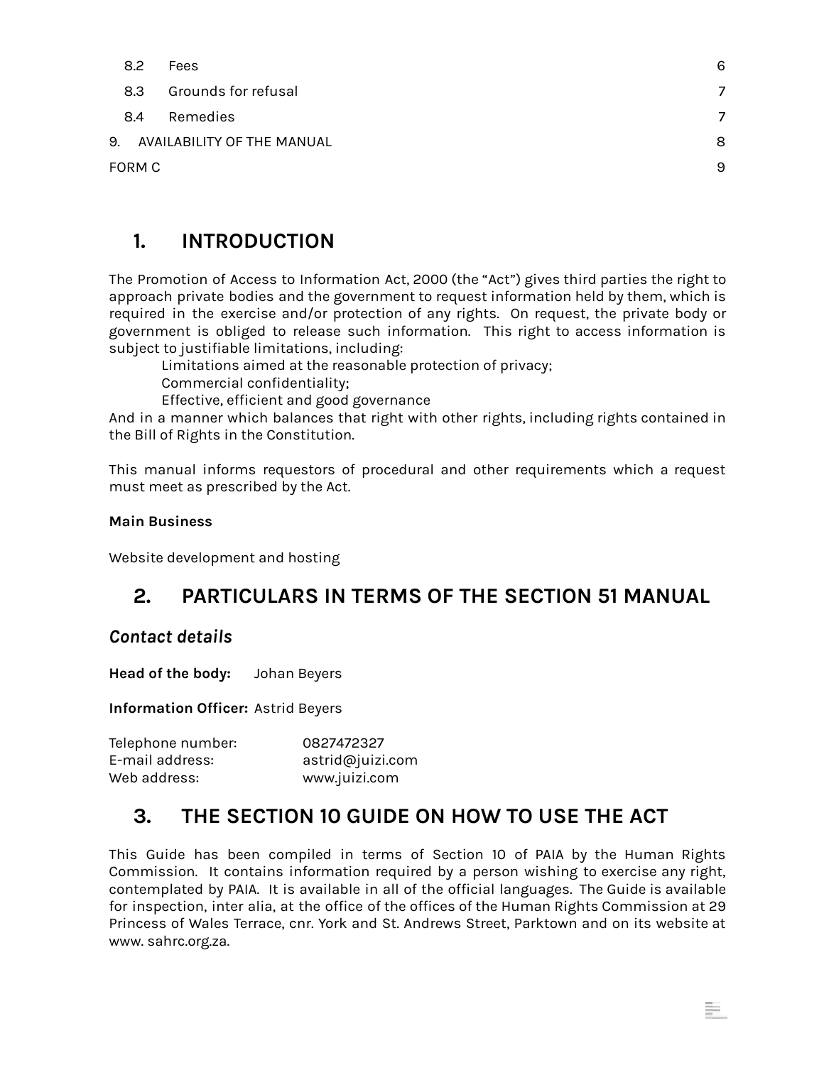| 8.2    | Fees                          | 6              |
|--------|-------------------------------|----------------|
| 8.3    | Grounds for refusal           | $\overline{7}$ |
| -8.4   | Remedies                      | 7              |
|        | 9. AVAILABILITY OF THE MANUAL | 8              |
| FORM C |                               |                |
|        |                               |                |

### <span id="page-1-0"></span>**1. INTRODUCTION**

The Promotion of Access to Information Act, 2000 (the "Act") gives third parties the right to approach private bodies and the government to request information held by them, which is required in the exercise and/or protection of any rights. On request, the private body or government is obliged to release such information. This right to access information is subject to justifiable limitations, including:

Limitations aimed at the reasonable protection of privacy;

Commercial confidentiality;

Effective, efficient and good governance

And in a manner which balances that right with other rights, including rights contained in the Bill of Rights in the Constitution.

This manual informs requestors of procedural and other requirements which a request must meet as prescribed by the Act.

#### **Main Business**

Website development and hosting

# <span id="page-1-1"></span>**2. PARTICULARS IN TERMS OF THE SECTION 51 MANUAL**

#### <span id="page-1-2"></span>*Contact details*

**Head of the body:** Johan Beyers

**Information Officer:** Astrid Beyers

| Telephone number: | 0827472327       |
|-------------------|------------------|
| E-mail address:   | astrid@juizi.com |
| Web address:      | www.juizi.com    |

# <span id="page-1-3"></span>**3. THE SECTION 10 GUIDE ON HOW TO USE THE ACT**

This Guide has been compiled in terms of Section 10 of PAIA by the Human Rights Commission. It contains information required by a person wishing to exercise any right, contemplated by PAIA. It is available in all of the official languages. The Guide is available for inspection, inter alia, at the office of the offices of the Human Rights Commission at 29 Princess of Wales Terrace, cnr. York and St. Andrews Street, Parktown and on its website at www. sahrc.org.za.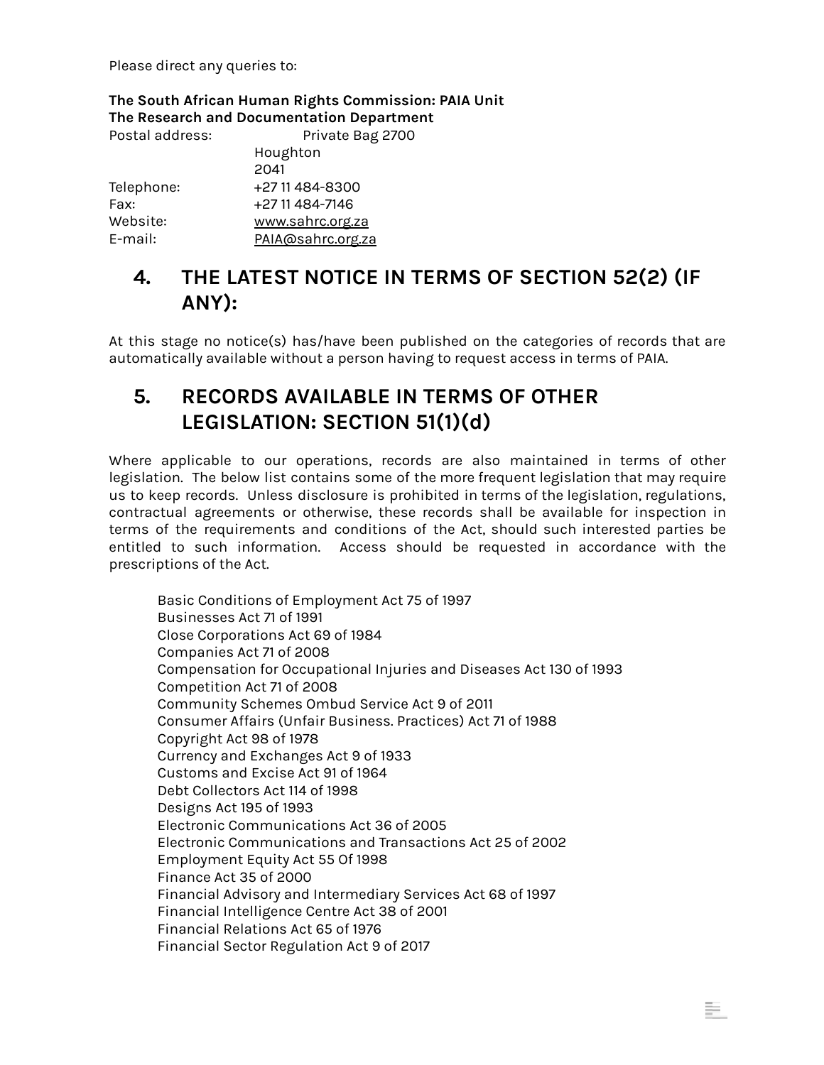Please direct any queries to:

**The South African Human Rights Commission: PAIA Unit The Research and Documentation Department**

| Postal address: | Private Bag 2700  |  |  |  |
|-----------------|-------------------|--|--|--|
|                 | Houghton          |  |  |  |
|                 | 2041              |  |  |  |
| Telephone:      | +27 11 484-8300   |  |  |  |
| Fax:            | +27 11 484-7146   |  |  |  |
| Website:        | www.sahrc.org.za  |  |  |  |
| E-mail:         | PAIA@sahrc.org.za |  |  |  |

# <span id="page-2-0"></span>**4. THE LATEST NOTICE IN TERMS OF SECTION 52(2) (IF ANY):**

At this stage no notice(s) has/have been published on the categories of records that are automatically available without a person having to request access in terms of PAIA.

# <span id="page-2-1"></span>**5. RECORDS AVAILABLE IN TERMS OF OTHER LEGISLATION: SECTION 51(1)(d)**

Where applicable to our operations, records are also maintained in terms of other legislation. The below list contains some of the more frequent legislation that may require us to keep records. Unless disclosure is prohibited in terms of the legislation, regulations, contractual agreements or otherwise, these records shall be available for inspection in terms of the requirements and conditions of the Act, should such interested parties be entitled to such information. Access should be requested in accordance with the prescriptions of the Act.

Basic Conditions of Employment Act 75 of 1997 Businesses Act 71 of 1991 Close Corporations Act 69 of 1984 Companies Act 71 of 2008 Compensation for Occupational Injuries and Diseases Act 130 of 1993 Competition Act 71 of 2008 Community Schemes Ombud Service Act 9 of 2011 Consumer Affairs (Unfair Business. Practices) Act 71 of 1988 Copyright Act 98 of 1978 Currency and Exchanges Act 9 of 1933 Customs and Excise Act 91 of 1964 Debt Collectors Act 114 of 1998 Designs Act 195 of 1993 Electronic Communications Act 36 of 2005 Electronic Communications and Transactions Act 25 of 2002 Employment Equity Act 55 Of 1998 Finance Act 35 of 2000 Financial Advisory and Intermediary Services Act 68 of 1997 Financial Intelligence Centre Act 38 of 2001 Financial Relations Act 65 of 1976 Financial Sector Regulation Act 9 of 2017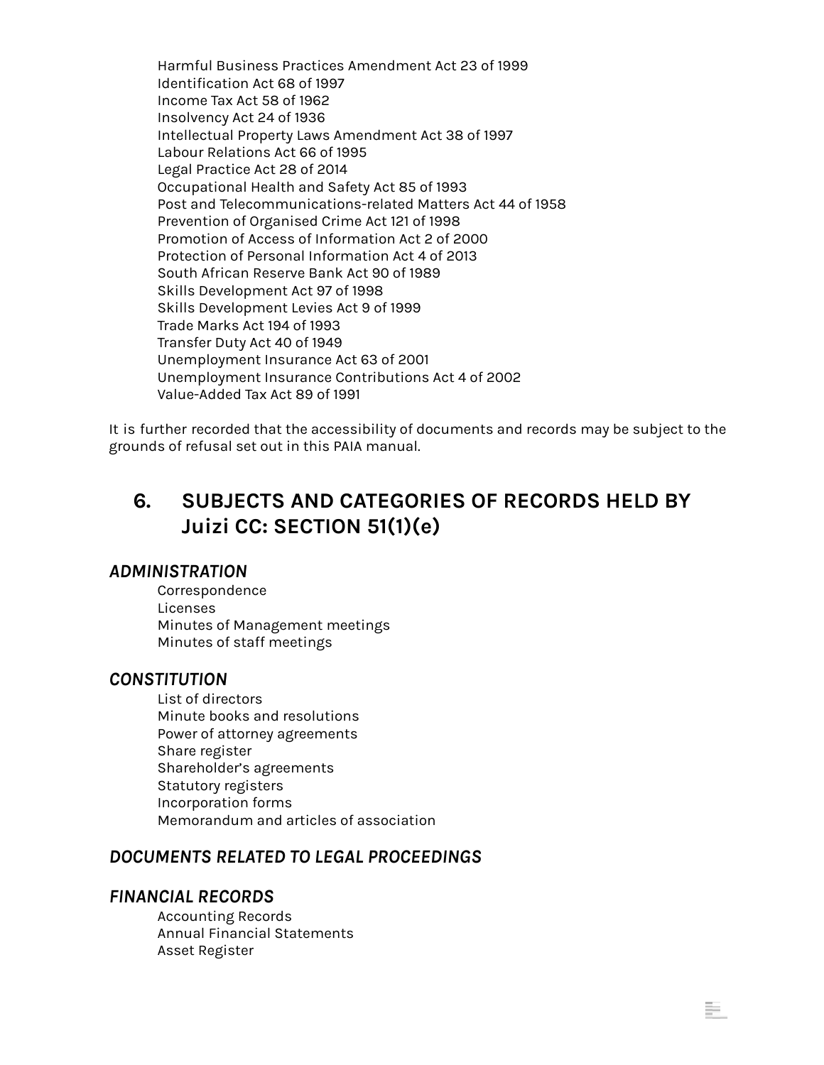Harmful Business Practices Amendment Act 23 of 1999 Identification Act 68 of 1997 Income Tax Act 58 of 1962 [Insolvency](https://www.gov.za/documents/insurance-act-18-2017-english-afrikaans-18-jan-2018-0000) Act 24 of 1936 Intellectual Property Laws [Amendment](https://www.gov.za/documents/intellectual-property-laws-amendment-act-0) Act 38 of 1997 Labour [Relations](https://www.gov.za/documents/intellectual-property-laws-amendment-act-0) Act 66 of 1995 Legal Practice Act 28 of 2014 Occupational Health and Safety Act 85 of 1993 Post and Telecommunications-related Matters Act 44 of 1958 Prevention of Organised Crime Act 121 of 1998 Promotion of Access of Information Act 2 of 2000 Protection of Personal Information Act 4 of 2013 South African Reserve Bank Act 90 of 1989 Skills Development Act 97 of 1998 Skills Development Levies Act 9 of 1999 Trade Marks Act 194 of 1993 Transfer Duty Act 40 of 1949 Unemployment Insurance Act 63 of 2001 Unemployment Insurance Contributions Act 4 of 2002 Value-Added Tax Act 89 of 1991

It is further recorded that the accessibility of documents and records may be subject to the grounds of refusal set out in this PAIA manual.

# <span id="page-3-0"></span>**6. SUBJECTS AND CATEGORIES OF RECORDS HELD BY Juizi CC: SECTION 51(1)(e)**

÷.

#### <span id="page-3-1"></span>*ADMINISTRATION*

Correspondence Licenses Minutes of Management meetings Minutes of staff meetings

#### <span id="page-3-2"></span>*CONSTITUTION*

List of directors Minute books and resolutions Power of attorney agreements Share register Shareholder's agreements Statutory registers Incorporation forms Memorandum and articles of association

#### <span id="page-3-3"></span>*DOCUMENTS RELATED TO LEGAL PROCEEDINGS*

#### <span id="page-3-4"></span>*FINANCIAL RECORDS*

Accounting Records Annual Financial Statements Asset Register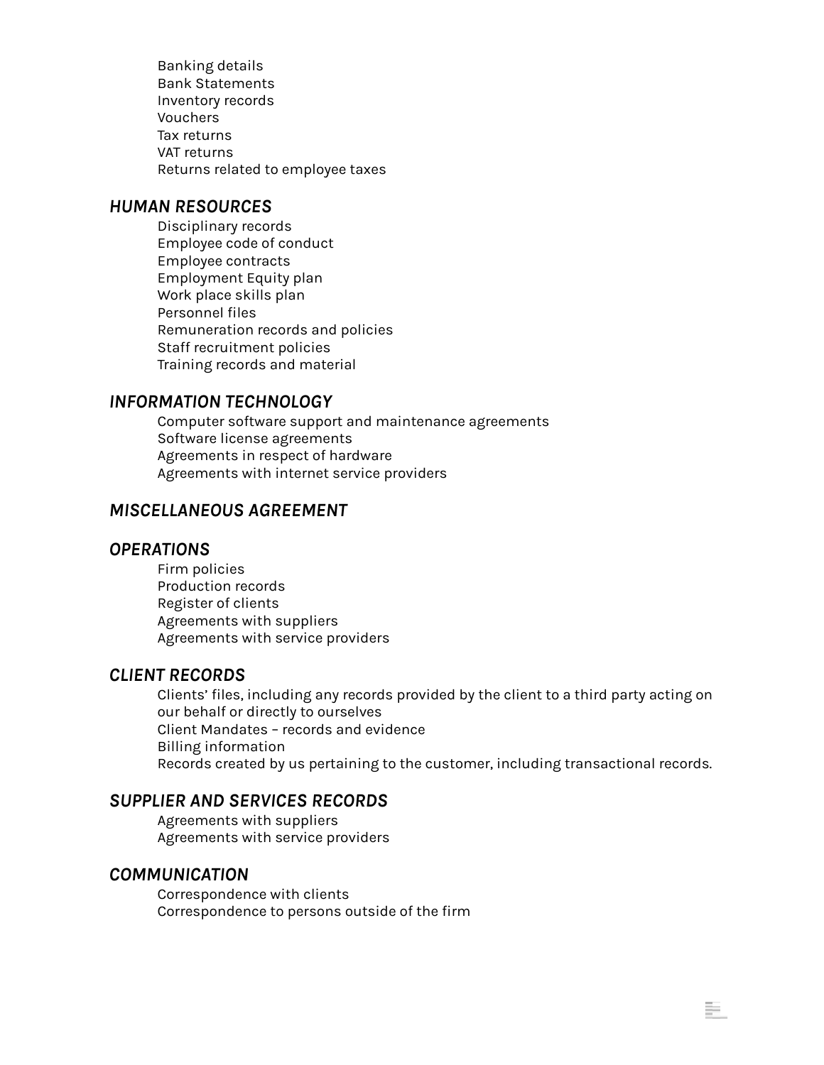Banking details Bank Statements Inventory records Vouchers Tax returns VAT returns Returns related to employee taxes

#### <span id="page-4-0"></span>*HUMAN RESOURCES*

Disciplinary records Employee code of conduct Employee contracts Employment Equity plan Work place skills plan Personnel files Remuneration records and policies Staff recruitment policies Training records and material

#### <span id="page-4-1"></span>*INFORMATION TECHNOLOGY*

Computer software support and maintenance agreements Software license agreements Agreements in respect of hardware Agreements with internet service providers

#### <span id="page-4-2"></span>*MISCELLANEOUS AGREEMENT*

#### <span id="page-4-3"></span>*OPERATIONS*

Firm policies Production records Register of clients Agreements with suppliers Agreements with service providers

#### <span id="page-4-4"></span>*CLIENT RECORDS*

Clients' files, including any records provided by the client to a third party acting on our behalf or directly to ourselves Client Mandates – records and evidence Billing information Records created by us pertaining to the customer, including transactional records.

÷.

#### <span id="page-4-5"></span>*SUPPLIER AND SERVICES RECORDS*

Agreements with suppliers Agreements with service providers

#### <span id="page-4-6"></span>*COMMUNICATION*

Correspondence with clients Correspondence to persons outside of the firm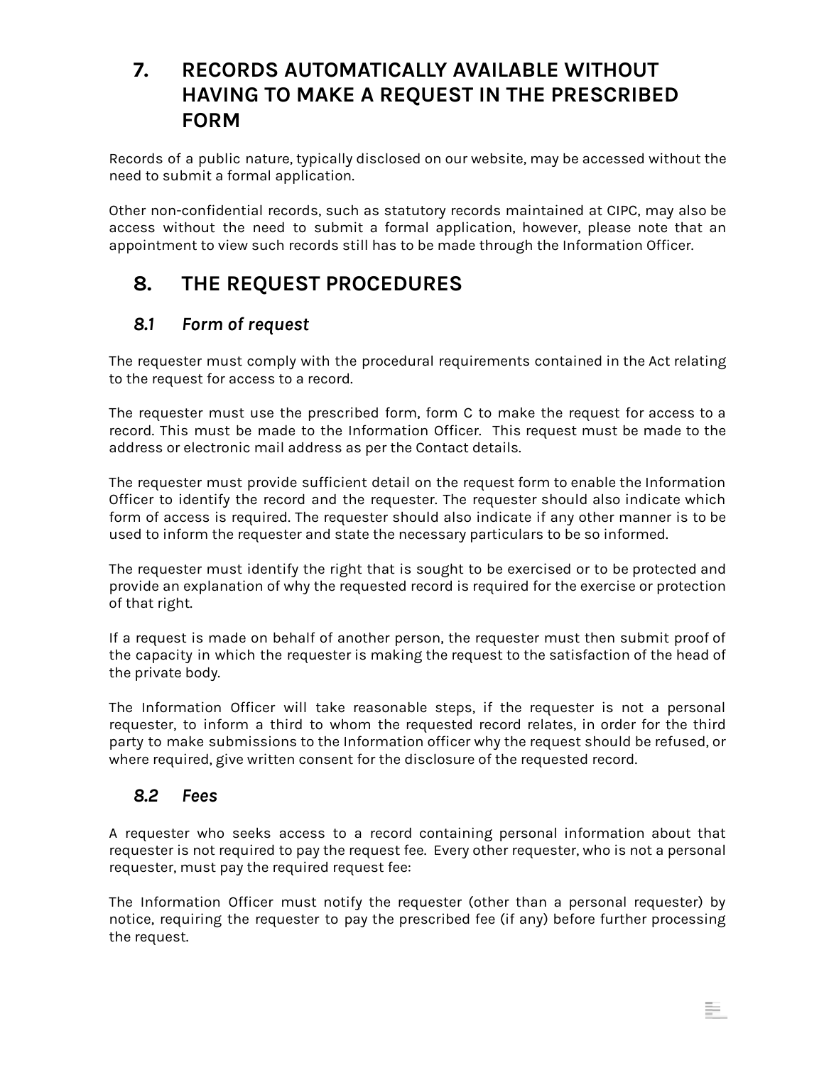# **7. RECORDS AUTOMATICALLY AVAILABLE WITHOUT HAVING TO MAKE A REQUEST IN THE PRESCRIBED FORM**

<span id="page-5-0"></span>Records of a public nature, typically disclosed on our website, may be accessed without the need to submit a formal application.

Other non-confidential records, such as statutory records maintained at CIPC, may also be access without the need to submit a formal application, however, please note that an appointment to view such records still has to be made through the Information Officer.

# <span id="page-5-1"></span>**8. THE REQUEST PROCEDURES**

#### <span id="page-5-2"></span>*8.1 Form of request*

The requester must comply with the procedural requirements contained in the Act relating to the request for access to a record.

The requester must use the prescribed form, form C to make the request for access to a record. This must be made to the Information Officer. This request must be made to the address or electronic mail address as per the Contact details.

The requester must provide sufficient detail on the request form to enable the Information Officer to identify the record and the requester. The requester should also indicate which form of access is required. The requester should also indicate if any other manner is to be used to inform the requester and state the necessary particulars to be so informed.

The requester must identify the right that is sought to be exercised or to be protected and provide an explanation of why the requested record is required for the exercise or protection of that right.

If a request is made on behalf of another person, the requester must then submit proof of the capacity in which the requester is making the request to the satisfaction of the head of the private body.

The Information Officer will take reasonable steps, if the requester is not a personal requester, to inform a third to whom the requested record relates, in order for the third party to make submissions to the Information officer why the request should be refused, or where required, give written consent for the disclosure of the requested record.

#### <span id="page-5-3"></span>*8.2 Fees*

A requester who seeks access to a record containing personal information about that requester is not required to pay the request fee. Every other requester, who is not a personal requester, must pay the required request fee:

The Information Officer must notify the requester (other than a personal requester) by notice, requiring the requester to pay the prescribed fee (if any) before further processing the request.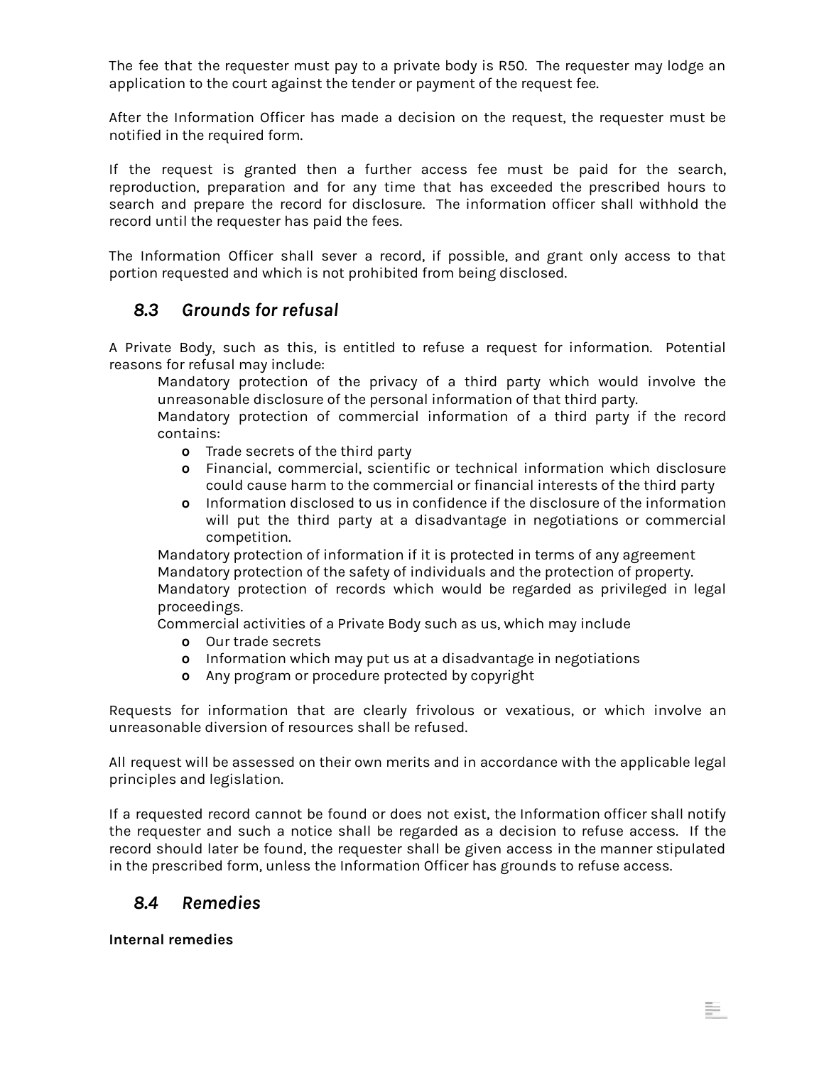The fee that the requester must pay to a private body is R50. The requester may lodge an application to the court against the tender or payment of the request fee.

After the Information Officer has made a decision on the request, the requester must be notified in the required form.

If the request is granted then a further access fee must be paid for the search, reproduction, preparation and for any time that has exceeded the prescribed hours to search and prepare the record for disclosure. The information officer shall withhold the record until the requester has paid the fees.

The Information Officer shall sever a record, if possible, and grant only access to that portion requested and which is not prohibited from being disclosed.

#### <span id="page-6-0"></span>*8.3 Grounds for refusal*

A Private Body, such as this, is entitled to refuse a request for information. Potential reasons for refusal may include:

Mandatory protection of the privacy of a third party which would involve the unreasonable disclosure of the personal information of that third party.

Mandatory protection of commercial information of a third party if the record contains:

- **o** Trade secrets of the third party
- **o** Financial, commercial, scientific or technical information which disclosure could cause harm to the commercial or financial interests of the third party
- **o** Information disclosed to us in confidence if the disclosure of the information will put the third party at a disadvantage in negotiations or commercial competition.

Mandatory protection of information if it is protected in terms of any agreement Mandatory protection of the safety of individuals and the protection of property. Mandatory protection of records which would be regarded as privileged in legal proceedings.

Commercial activities of a Private Body such as us, which may include

- **o** Our trade secrets
- **o** Information which may put us at a disadvantage in negotiations
- **o** Any program or procedure protected by copyright

Requests for information that are clearly frivolous or vexatious, or which involve an unreasonable diversion of resources shall be refused.

All request will be assessed on their own merits and in accordance with the applicable legal principles and legislation.

If a requested record cannot be found or does not exist, the Information officer shall notify the requester and such a notice shall be regarded as a decision to refuse access. If the record should later be found, the requester shall be given access in the manner stipulated in the prescribed form, unless the Information Officer has grounds to refuse access.

÷.

#### <span id="page-6-1"></span>*8.4 Remedies*

**Internal remedies**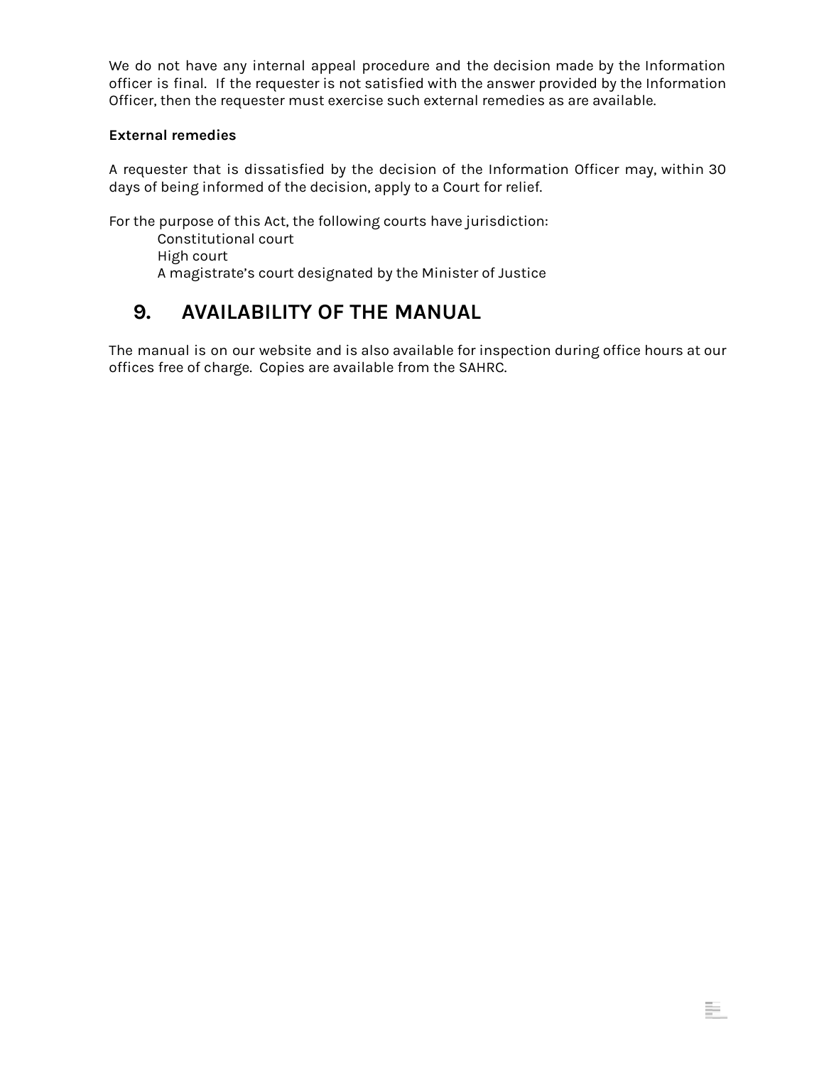We do not have any internal appeal procedure and the decision made by the Information officer is final. If the requester is not satisfied with the answer provided by the Information Officer, then the requester must exercise such external remedies as are available.

#### **External remedies**

A requester that is dissatisfied by the decision of the Information Officer may, within 30 days of being informed of the decision, apply to a Court for relief.

For the purpose of this Act, the following courts have jurisdiction: Constitutional court High court

A magistrate's court designated by the Minister of Justice

# <span id="page-7-0"></span>**9. AVAILABILITY OF THE MANUAL**

The manual is on our website and is also available for inspection during office hours at our offices free of charge. Copies are available from the SAHRC.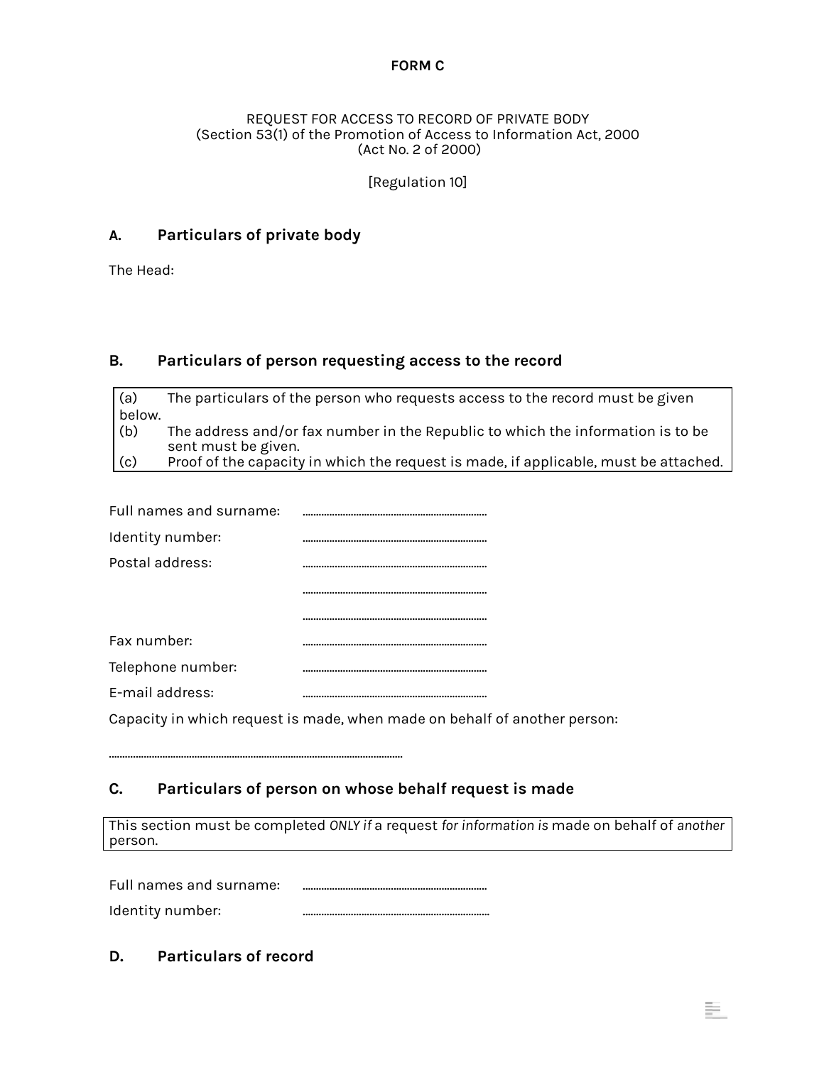#### **FORM C**

#### <span id="page-8-0"></span>REQUEST FOR ACCESS TO RECORD OF PRIVATE BODY (Section 53(1) of the Promotion of Access to Information Act, 2000 (Act No. 2 of 2000)

[Regulation 10]

#### **A. Particulars of private body**

The Head:

#### **B. Particulars of person requesting access to the record**

(a) The particulars of the person who requests access to the record must be given below. (b) The address and/or fax number in the Republic to which the information is to be sent must be given. (c) Proof of the capacity in which the request is made, if applicable, must be attached.

| Full names and surname: |  |
|-------------------------|--|
| Identity number:        |  |
| Postal address:         |  |
|                         |  |
|                         |  |
| Fax number:             |  |
| Telephone number:       |  |
| E-mail address:         |  |
|                         |  |

Capacity in which request is made, when made on behalf of another person:

#### **C. Particulars of person on whose behalf request is made**

………………………………………………………………………………………………..

This section must be completed *ONLY if* a request *for information is* made on behalf of *another* person.

÷.

Full names and surname: ……………………………………………………………

Identity number: …………………………………………………………….

#### **D. Particulars of record**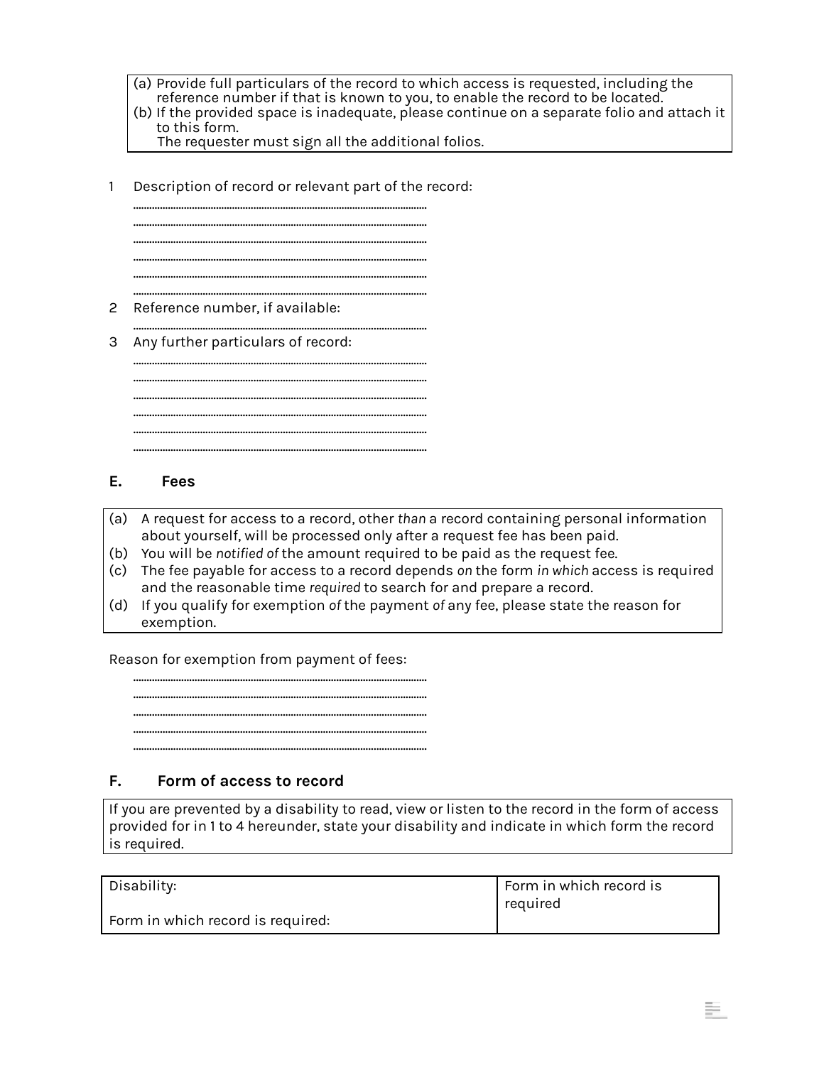- (a) Provide full particulars of the record to which access is requested, including the reference number if that is known to you, to enable the record to be located.
- (b) If the provided space is inadequate, please continue on a separate folio and attach it to this form.

The requester must sign all the additional folios.

1 Description of record or relevant part of the record:

……………………………………………………………………………………………….. ……………………………………………………………………………………………….. ……………………………………………………………………………………………….. ……………………………………………………………………………………………….. ……………………………………………………………………………………………….. ……………………………………………………………………………………………….. 2 Reference number, if available: ……………………………………………………………………………………………….. 3 Any further particulars of record: ……………………………………………………………………………………………….. ……………………………………………………………………………………………….. ……………………………………………………………………………………………….. ……………………………………………………………………………………………….. ……………………………………………………………………………………………….. ………………………………………………………………………………………………..

#### **E. Fees**

- (a) A request for access to a record, other *than* a record containing personal information about yourself, will be processed only after a request fee has been paid.
- (b) You will be *notified of* the amount required to be paid as the request fee.
- (c) The fee payable for access to a record depends *on* the form *in which* access is required and the reasonable time *required* to search for and prepare a record.
- (d) If you qualify for exemption *of* the payment *of* any fee, please state the reason for exemption.

Reason for exemption from payment of fees:

……………………………………………………………………………………………….. ……………………………………………………………………………………………….. ……………………………………………………………………………………………….. ………………………………………………………………………………………………..

………………………………………………………………………………………………..

#### **F. Form of access to record**

If you are prevented by a disability to read, view or listen to the record in the form of access provided for in 1 to 4 hereunder, state your disability and indicate in which form the record is required.

| Disability:                       | Form in which record is<br>required |
|-----------------------------------|-------------------------------------|
| Form in which record is required: |                                     |

s.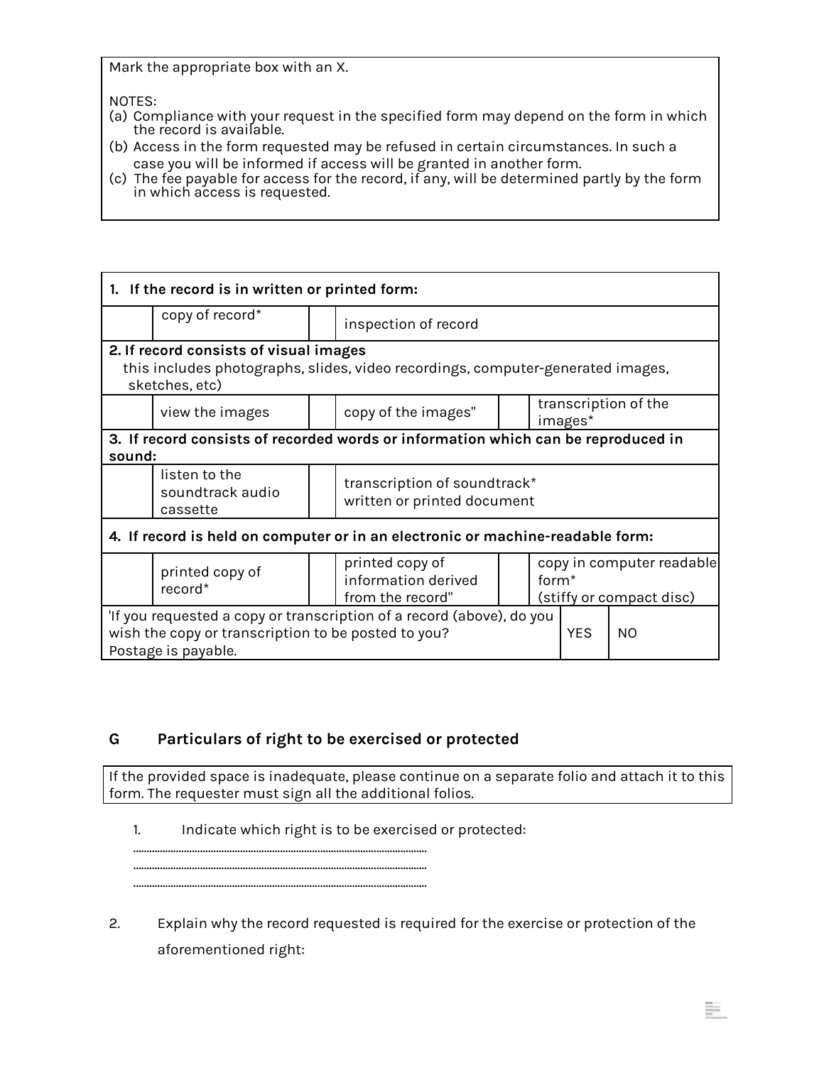Mark the appropriate box with an X.

NOTES:

- (a) Compliance with your request in the specified form may depend on the form in which the record is available.
- (b) Access in the form requested may be refused in certain circumstances. In such a case you will be informed if access will be granted in another form.
- (c) The fee payable for access for the record, if any, will be determined partly by the form in which access is requested.

| 1. If the record is in written or printed form:                                                                                                     |                                               |  |                                                             |            |                                                                            |         |                      |
|-----------------------------------------------------------------------------------------------------------------------------------------------------|-----------------------------------------------|--|-------------------------------------------------------------|------------|----------------------------------------------------------------------------|---------|----------------------|
|                                                                                                                                                     | copy of record*                               |  | inspection of record                                        |            |                                                                            |         |                      |
| 2. If record consists of visual images<br>this includes photographs, slides, video recordings, computer-generated images,<br>sketches, etc)         |                                               |  |                                                             |            |                                                                            |         |                      |
|                                                                                                                                                     | view the images                               |  | copy of the images"                                         |            |                                                                            | images* | transcription of the |
| 3. If record consists of recorded words or information which can be reproduced in<br>sound:                                                         |                                               |  |                                                             |            |                                                                            |         |                      |
|                                                                                                                                                     | listen to the<br>soundtrack audio<br>cassette |  | transcription of soundtrack*<br>written or printed document |            |                                                                            |         |                      |
| 4. If record is held on computer or in an electronic or machine-readable form:                                                                      |                                               |  |                                                             |            |                                                                            |         |                      |
|                                                                                                                                                     | printed copy of<br>record*                    |  | printed copy of<br>information derived<br>from the record"  |            | copy in computer readable<br>form <sup>*</sup><br>(stiffy or compact disc) |         |                      |
| 'If you requested a copy or transcription of a record (above), do you<br>wish the copy or transcription to be posted to you?<br>Postage is payable. |                                               |  |                                                             | <b>YES</b> | <b>NO</b>                                                                  |         |                      |

#### **G Particulars of right to be exercised or protected**

If the provided space is inadequate, please continue on a separate folio and attach it to this form. The requester must sign all the additional folios.

1. Indicate which right is to be exercised or protected:

……………………………………………………………………………………………….. ……………………………………………………………………………………………….. ………………………………………………………………………………………………..

2. Explain why the record requested is required for the exercise or protection of the aforementioned right: